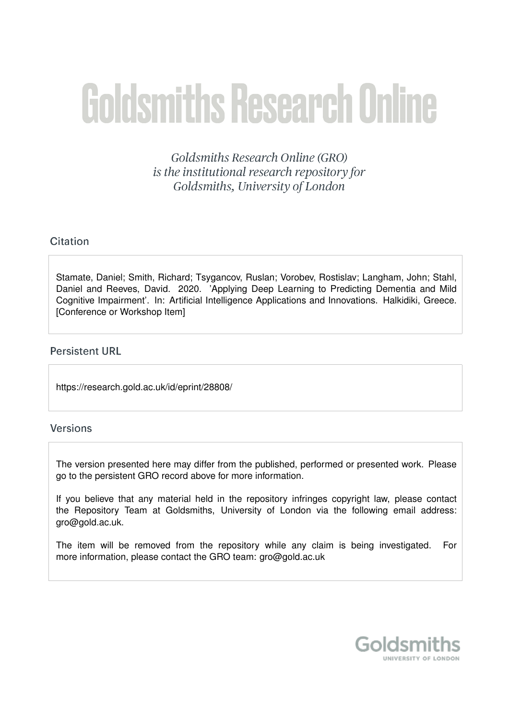# **Goldsmiths Research Online**

Goldsmiths Research Online (GRO) is the institutional research repository for Goldsmiths, University of London

## Citation

Stamate, Daniel; Smith, Richard; Tsygancov, Ruslan; Vorobev, Rostislav; Langham, John; Stahl, Daniel and Reeves, David. 2020. 'Applying Deep Learning to Predicting Dementia and Mild Cognitive Impairment'. In: Artificial Intelligence Applications and Innovations. Halkidiki, Greece. [Conference or Workshop Item]

## **Persistent URL**

https://research.gold.ac.uk/id/eprint/28808/

## **Versions**

The version presented here may differ from the published, performed or presented work. Please go to the persistent GRO record above for more information.

If you believe that any material held in the repository infringes copyright law, please contact the Repository Team at Goldsmiths, University of London via the following email address: gro@gold.ac.uk.

The item will be removed from the repository while any claim is being investigated. For more information, please contact the GRO team: gro@gold.ac.uk

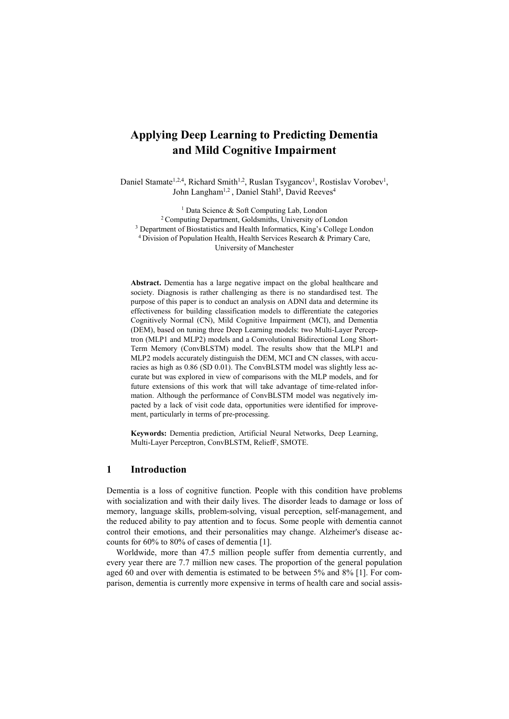# Applying Deep Learning to Predicting Dementia and Mild Cognitive Impairment

Daniel Stamate<sup>1,2,4</sup>, Richard Smith<sup>1,2</sup>, Ruslan Tsygancov<sup>1</sup>, Rostislav Vorobev<sup>1</sup>, John Langham<sup>1,2</sup>, Daniel Stahl<sup>3</sup>, David Reeves<sup>4</sup>

1 Data Science & Soft Computing Lab, London <sup>2</sup>Computing Department, Goldsmiths, University of London <sup>3</sup> Department of Biostatistics and Health Informatics, King's College London <sup>4</sup>Division of Population Health, Health Services Research & Primary Care, University of Manchester

Abstract. Dementia has a large negative impact on the global healthcare and society. Diagnosis is rather challenging as there is no standardised test. The purpose of this paper is to conduct an analysis on ADNI data and determine its effectiveness for building classification models to differentiate the categories Cognitively Normal (CN), Mild Cognitive Impairment (MCI), and Dementia (DEM), based on tuning three Deep Learning models: two Multi-Layer Perceptron (MLP1 and MLP2) models and a Convolutional Bidirectional Long Short-Term Memory (ConvBLSTM) model. The results show that the MLP1 and MLP2 models accurately distinguish the DEM, MCI and CN classes, with accuracies as high as 0.86 (SD 0.01). The ConvBLSTM model was slightly less accurate but was explored in view of comparisons with the MLP models, and for future extensions of this work that will take advantage of time-related information. Although the performance of ConvBLSTM model was negatively impacted by a lack of visit code data, opportunities were identified for improvement, particularly in terms of pre-processing.

Keywords: Dementia prediction, Artificial Neural Networks, Deep Learning, Multi-Layer Perceptron, ConvBLSTM, ReliefF, SMOTE.

#### 1 Introduction

Dementia is a loss of cognitive function. People with this condition have problems with socialization and with their daily lives. The disorder leads to damage or loss of memory, language skills, problem-solving, visual perception, self-management, and the reduced ability to pay attention and to focus. Some people with dementia cannot control their emotions, and their personalities may change. Alzheimer's disease accounts for 60% to 80% of cases of dementia [1].

Worldwide, more than 47.5 million people suffer from dementia currently, and every year there are 7.7 million new cases. The proportion of the general population aged 60 and over with dementia is estimated to be between 5% and 8% [1]. For comparison, dementia is currently more expensive in terms of health care and social assis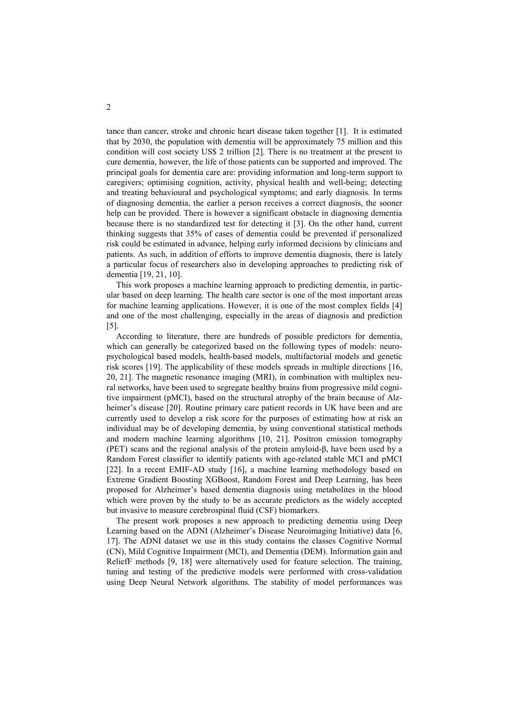tance than cancer, stroke and chronic heart disease taken together [1]. It is estimated that by 2030, the population with dementia will be approximately 75 million and this condition will cost society US\$ 2 trillion [2]. There is no treatment at the present to cure dementia, however, the life of those patients can be supported and improved. The principal goals for dementia care are: providing information and long-term support to caregivers; optimising cognition, activity, physical health and well-being; detecting and treating behavioural and psychological symptoms; and early diagnosis. In terms of diagnosing dementia, the earlier a person receives a correct diagnosis, the sooner help can be provided. There is however a significant obstacle in diagnosing dementia because there is no standardized test for detecting it [3]. On the other hand, current thinking suggests that 35% of cases of dementia could be prevented if personalized risk could be estimated in advance, helping early informed decisions by clinicians and patients. As such, in addition of efforts to improve dementia diagnosis, there is lately a particular focus of researchers also in developing approaches to predicting risk of dementia [19, 21, 10].

This work proposes a machine learning approach to predicting dementia, in particular based on deep learning. The health care sector is one of the most important areas for machine learning applications. However, it is one of the most complex fields [4] and one of the most challenging, especially in the areas of diagnosis and prediction [5].

According to literature, there are hundreds of possible predictors for dementia, which can generally be categorized based on the following types of models: neuropsychological based models, health-based models, multifactorial models and genetic risk scores [19]. The applicability of these models spreads in multiple directions [16, 20, 21]. The magnetic resonance imaging (MRI), in combination with multiplex neural networks, have been used to segregate healthy brains from progressive mild cognitive impairment (pMCI), based on the structural atrophy of the brain because of Alzheimer's disease [20]. Routine primary care patient records in UK have been and are currently used to develop a risk score for the purposes of estimating how at risk an individual may be of developing dementia, by using conventional statistical methods and modern machine learning algorithms [10, 21]. Positron emission tomography (PET) scans and the regional analysis of the protein amyloid-β, have been used by a Random Forest classifier to identify patients with age-related stable MCI and pMCI [22]. In a recent EMIF-AD study [16], a machine learning methodology based on Extreme Gradient Boosting XGBoost, Random Forest and Deep Learning, has been proposed for Alzheimer's based dementia diagnosis using metabolites in the blood which were proven by the study to be as accurate predictors as the widely accepted but invasive to measure cerebrospinal fluid (CSF) biomarkers.

The present work proposes a new approach to predicting dementia using Deep Learning based on the ADNI (Alzheimer's Disease Neuroimaging Initiative) data [6, 17]. The ADNI dataset we use in this study contains the classes Cognitive Normal (CN), Mild Cognitive Impairment (MCI), and Dementia (DEM). Information gain and ReliefF methods [9, 18] were alternatively used for feature selection. The training, tuning and testing of the predictive models were performed with cross-validation using Deep Neural Network algorithms. The stability of model performances was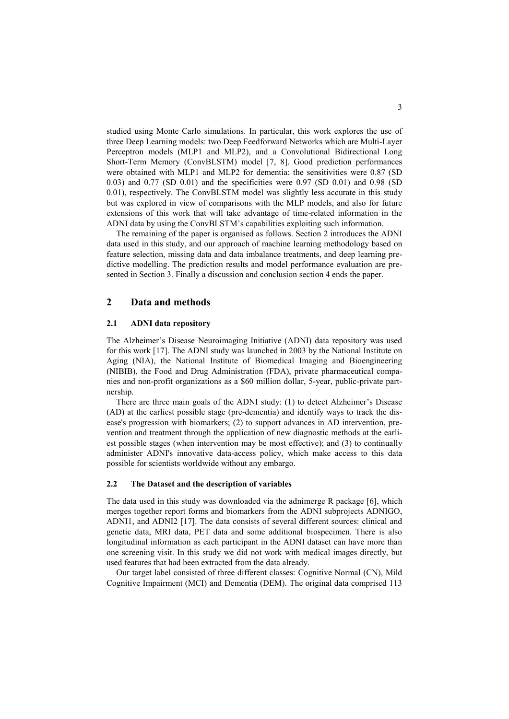studied using Monte Carlo simulations. In particular, this work explores the use of three Deep Learning models: two Deep Feedforward Networks which are Multi-Layer Perceptron models (MLP1 and MLP2), and a Convolutional Bidirectional Long Short-Term Memory (ConvBLSTM) model [7, 8]. Good prediction performances were obtained with MLP1 and MLP2 for dementia: the sensitivities were 0.87 (SD 0.03) and 0.77 (SD 0.01) and the specificities were 0.97 (SD 0.01) and 0.98 (SD 0.01), respectively. The ConvBLSTM model was slightly less accurate in this study but was explored in view of comparisons with the MLP models, and also for future extensions of this work that will take advantage of time-related information in the ADNI data by using the ConvBLSTM's capabilities exploiting such information.

The remaining of the paper is organised as follows. Section 2 introduces the ADNI data used in this study, and our approach of machine learning methodology based on feature selection, missing data and data imbalance treatments, and deep learning predictive modelling. The prediction results and model performance evaluation are presented in Section 3. Finally a discussion and conclusion section 4 ends the paper.

#### 2 Data and methods

#### 2.1 ADNI data repository

The Alzheimer's Disease Neuroimaging Initiative (ADNI) data repository was used for this work [17]. The ADNI study was launched in 2003 by the National Institute on Aging (NIA), the National Institute of Biomedical Imaging and Bioengineering (NIBIB), the Food and Drug Administration (FDA), private pharmaceutical companies and non-profit organizations as a \$60 million dollar, 5-year, public-private partnership.

There are three main goals of the ADNI study: (1) to detect Alzheimer's Disease (AD) at the earliest possible stage (pre-dementia) and identify ways to track the disease's progression with biomarkers; (2) to support advances in AD intervention, prevention and treatment through the application of new diagnostic methods at the earliest possible stages (when intervention may be most effective); and (3) to continually administer ADNI's innovative data-access policy, which make access to this data possible for scientists worldwide without any embargo.

#### 2.2 The Dataset and the description of variables

The data used in this study was downloaded via the adnimerge R package [6], which merges together report forms and biomarkers from the ADNI subprojects ADNIGO, ADNI1, and ADNI2 [17]. The data consists of several different sources: clinical and genetic data, MRI data, PET data and some additional biospecimen. There is also longitudinal information as each participant in the ADNI dataset can have more than one screening visit. In this study we did not work with medical images directly, but used features that had been extracted from the data already.

Our target label consisted of three different classes: Cognitive Normal (CN), Mild Cognitive Impairment (MCI) and Dementia (DEM). The original data comprised 113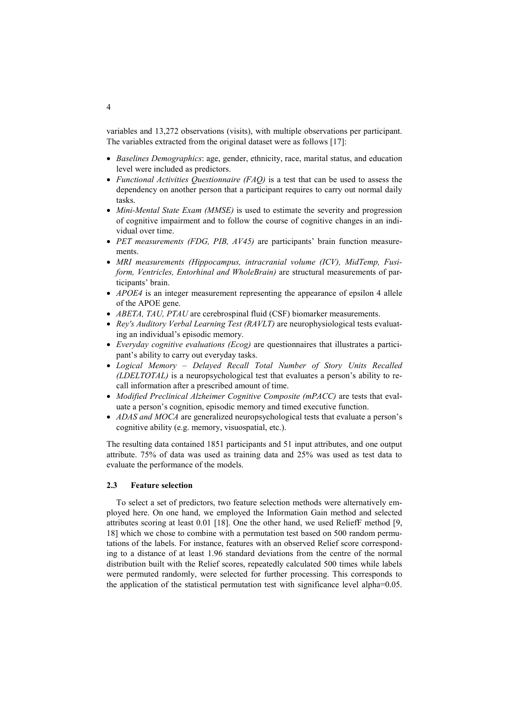variables and 13,272 observations (visits), with multiple observations per participant. The variables extracted from the original dataset were as follows [17]:

- Baselines Demographics: age, gender, ethnicity, race, marital status, and education level were included as predictors.
- Functional Activities Questionnaire  $(FAQ)$  is a test that can be used to assess the dependency on another person that a participant requires to carry out normal daily tasks.
- Mini-Mental State Exam (MMSE) is used to estimate the severity and progression of cognitive impairment and to follow the course of cognitive changes in an individual over time.
- PET measurements (FDG, PIB, AV45) are participants' brain function measurements.
- MRI measurements (Hippocampus, intracranial volume (ICV), MidTemp, Fusiform, Ventricles, Entorhinal and WholeBrain) are structural measurements of participants' brain.
- APOE4 is an integer measurement representing the appearance of epsilon 4 allele of the APOE gene.
- *ABETA, TAU, PTAU* are cerebrospinal fluid (CSF) biomarker measurements.
- Rey's Auditory Verbal Learning Test (RAVLT) are neurophysiological tests evaluating an individual's episodic memory.
- Everyday cognitive evaluations (Ecog) are questionnaires that illustrates a participant's ability to carry out everyday tasks.
- Logical Memory Delayed Recall Total Number of Story Units Recalled (LDELTOTAL) is a neuropsychological test that evaluates a person's ability to recall information after a prescribed amount of time.
- Modified Preclinical Alzheimer Cognitive Composite (mPACC) are tests that evaluate a person's cognition, episodic memory and timed executive function.
- ADAS and MOCA are generalized neuropsychological tests that evaluate a person's cognitive ability (e.g. memory, visuospatial, etc.).

The resulting data contained 1851 participants and 51 input attributes, and one output attribute. 75% of data was used as training data and 25% was used as test data to evaluate the performance of the models.

#### 2.3 Feature selection

To select a set of predictors, two feature selection methods were alternatively employed here. On one hand, we employed the Information Gain method and selected attributes scoring at least 0.01 [18]. One the other hand, we used ReliefF method [9, 18] which we chose to combine with a permutation test based on 500 random permutations of the labels. For instance, features with an observed Relief score corresponding to a distance of at least 1.96 standard deviations from the centre of the normal distribution built with the Relief scores, repeatedly calculated 500 times while labels were permuted randomly, were selected for further processing. This corresponds to the application of the statistical permutation test with significance level alpha=0.05.

4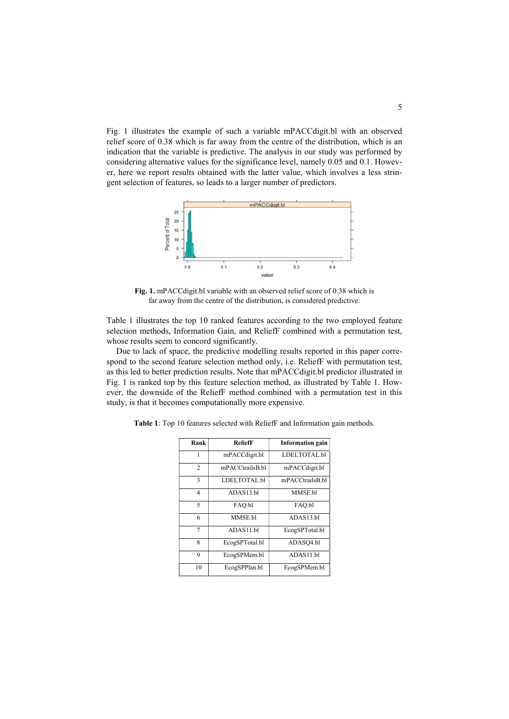Fig. 1 illustrates the example of such a variable mPACCdigit.bl with an observed relief score of 0.38 which is far away from the centre of the distribution, which is an indication that the variable is predictive. The analysis in our study was performed by considering alternative values for the significance level, namely 0.05 and 0.1. However, here we report results obtained with the latter value, which involves a less stringent selection of features, so leads to a larger number of predictors.



Fig. 1. mPACCdigit.bl variable with an observed relief score of 0.38 which is far away from the centre of the distribution, is considered predictive.

Table 1 illustrates the top 10 ranked features according to the two employed feature selection methods, Information Gain, and ReliefF combined with a permutation test, whose results seem to concord significantly.

Due to lack of space, the predictive modelling results reported in this paper correspond to the second feature selection method only, i.e. ReliefF with permutation test, as this led to better prediction results. Note that mPACCdigit.bl predictor illustrated in Fig. 1 is ranked top by this feature selection method, as illustrated by Table 1. However, the downside of the ReliefF method combined with a permutation test in this study, is that it becomes computationally more expensive.

| Rank           | ReliefF         | <b>Information</b> gain |
|----------------|-----------------|-------------------------|
| 1              | mPACCdigit.bl   | LDELTOTAL.bl            |
| $\overline{c}$ | mPACCtrailsB.bl | mPACCdigit.bl           |
| 3              | LDELTOTAL.bl    | mPACCtrailsB.bl         |
| 4              | ADAS13.h1       | MMSE.bl                 |
| 5              | FAQ.bl          | FAQ.bl                  |
| 6              | MMSE bl         | ADAS13.h                |
| 7              | ADAS11.bl       | EcogSPTotal.bl          |
| 8              | EcogSPTotal.bl  | ADASO4.bl               |
| 9              | EcogSPMem.bl    | ADAS11.bl               |
| 10             | EcogSPPlan.bl   | EcogSPMem.bl            |

Table 1: Top 10 features selected with ReliefF and Information gain methods.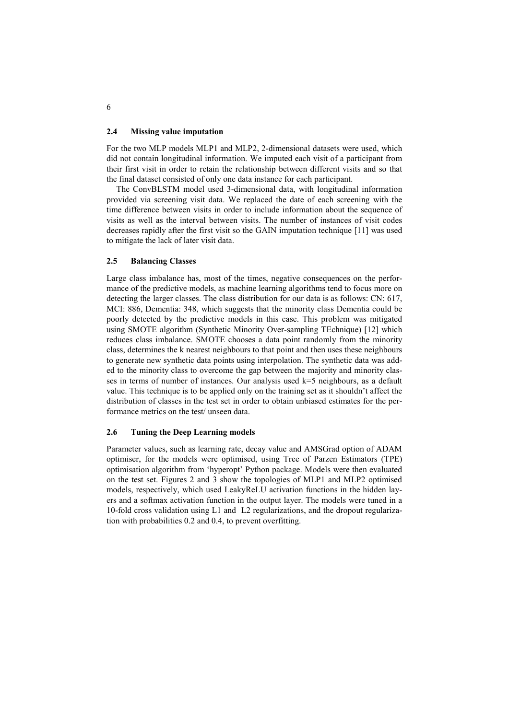#### 2.4 Missing value imputation

For the two MLP models MLP1 and MLP2, 2-dimensional datasets were used, which did not contain longitudinal information. We imputed each visit of a participant from their first visit in order to retain the relationship between different visits and so that the final dataset consisted of only one data instance for each participant.

The ConvBLSTM model used 3-dimensional data, with longitudinal information provided via screening visit data. We replaced the date of each screening with the time difference between visits in order to include information about the sequence of visits as well as the interval between visits. The number of instances of visit codes decreases rapidly after the first visit so the GAIN imputation technique [11] was used to mitigate the lack of later visit data.

#### 2.5 Balancing Classes

Large class imbalance has, most of the times, negative consequences on the performance of the predictive models, as machine learning algorithms tend to focus more on detecting the larger classes. The class distribution for our data is as follows: CN: 617, MCI: 886, Dementia: 348, which suggests that the minority class Dementia could be poorly detected by the predictive models in this case. This problem was mitigated using SMOTE algorithm (Synthetic Minority Over-sampling TEchnique) [12] which reduces class imbalance. SMOTE chooses a data point randomly from the minority class, determines the k nearest neighbours to that point and then uses these neighbours to generate new synthetic data points using interpolation. The synthetic data was added to the minority class to overcome the gap between the majority and minority classes in terms of number of instances. Our analysis used  $k=5$  neighbours, as a default value. This technique is to be applied only on the training set as it shouldn't affect the distribution of classes in the test set in order to obtain unbiased estimates for the performance metrics on the test/ unseen data.

#### 2.6 Tuning the Deep Learning models

Parameter values, such as learning rate, decay value and AMSGrad option of ADAM optimiser, for the models were optimised, using Tree of Parzen Estimators (TPE) optimisation algorithm from 'hyperopt' Python package. Models were then evaluated on the test set. Figures 2 and 3 show the topologies of MLP1 and MLP2 optimised models, respectively, which used LeakyReLU activation functions in the hidden layers and a softmax activation function in the output layer. The models were tuned in a 10-fold cross validation using L1 and L2 regularizations, and the dropout regularization with probabilities 0.2 and 0.4, to prevent overfitting.

6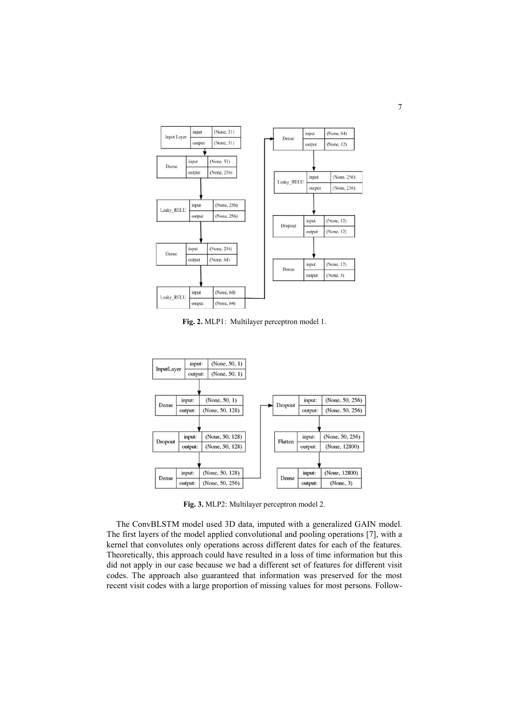

Fig. 2. MLP1: Multilayer perceptron model 1.



Fig. 3. MLP2: Multilayer perceptron model 2.

The ConvBLSTM model used 3D data, imputed with a generalized GAIN model. The first layers of the model applied convolutional and pooling operations [7], with a kernel that convolutes only operations across different dates for each of the features. Theoretically, this approach could have resulted in a loss of time information but this did not apply in our case because we had a different set of features for different visit codes. The approach also guaranteed that information was preserved for the most recent visit codes with a large proportion of missing values for most persons. Follow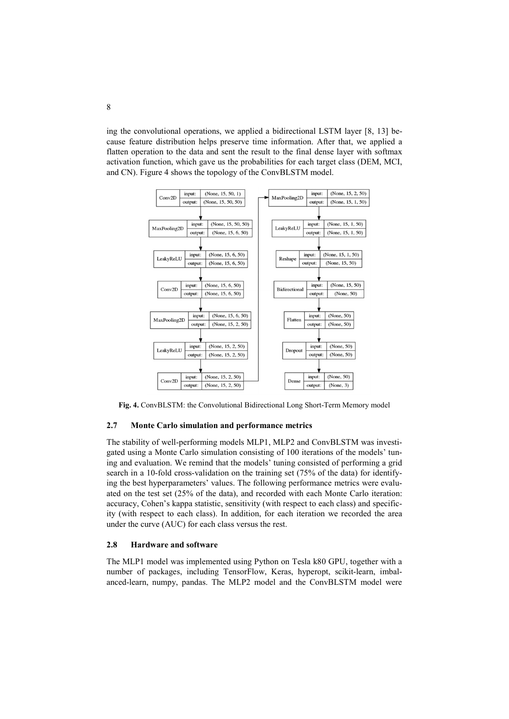ing the convolutional operations, we applied a bidirectional LSTM layer [8, 13] because feature distribution helps preserve time information. After that, we applied a flatten operation to the data and sent the result to the final dense layer with softmax activation function, which gave us the probabilities for each target class (DEM, MCI, and CN). Figure 4 shows the topology of the ConvBLSTM model.



Fig. 4. ConvBLSTM: the Convolutional Bidirectional Long Short-Term Memory model

#### 2.7 Monte Carlo simulation and performance metrics

The stability of well-performing models MLP1, MLP2 and ConvBLSTM was investigated using a Monte Carlo simulation consisting of 100 iterations of the models' tuning and evaluation. We remind that the models' tuning consisted of performing a grid search in a 10-fold cross-validation on the training set (75% of the data) for identifying the best hyperparameters' values. The following performance metrics were evaluated on the test set (25% of the data), and recorded with each Monte Carlo iteration: accuracy, Cohen's kappa statistic, sensitivity (with respect to each class) and specificity (with respect to each class). In addition, for each iteration we recorded the area under the curve (AUC) for each class versus the rest.

#### 2.8 Hardware and software

The MLP1 model was implemented using Python on Tesla k80 GPU, together with a number of packages, including TensorFlow, Keras, hyperopt, scikit-learn, imbalanced-learn, numpy, pandas. The MLP2 model and the ConvBLSTM model were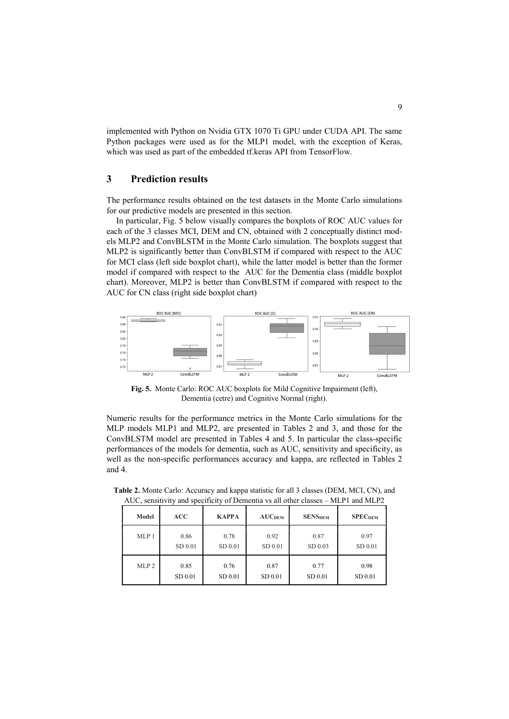implemented with Python on Nvidia GTX 1070 Ti GPU under CUDA API. The same Python packages were used as for the MLP1 model, with the exception of Keras, which was used as part of the embedded tf.keras API from TensorFlow.

### 3 Prediction results

The performance results obtained on the test datasets in the Monte Carlo simulations for our predictive models are presented in this section.

In particular, Fig. 5 below visually compares the boxplots of ROC AUC values for each of the 3 classes MCI, DEM and CN, obtained with 2 conceptually distinct models MLP2 and ConvBLSTM in the Monte Carlo simulation. The boxplots suggest that MLP2 is significantly better than ConvBLSTM if compared with respect to the AUC for MCI class (left side boxplot chart), while the latter model is better than the former model if compared with respect to the AUC for the Dementia class (middle boxplot chart). Moreover, MLP2 is better than ConvBLSTM if compared with respect to the AUC for CN class (right side boxplot chart)



Fig. 5. Monte Carlo: ROC AUC boxplots for Mild Cognitive Impairment (left), Dementia (cetre) and Cognitive Normal (right).

Numeric results for the performance metrics in the Monte Carlo simulations for the MLP models MLP1 and MLP2, are presented in Tables 2 and 3, and those for the ConvBLSTM model are presented in Tables 4 and 5. In particular the class-specific performances of the models for dementia, such as AUC, sensitivity and specificity, as well as the non-specific performances accuracy and kappa, are reflected in Tables 2 and 4.

| Model            | ACC     | <b>KAPPA</b> | <b>AUCDEM</b> | <b>SENSDEM</b> | <b>SPECDEM</b> |
|------------------|---------|--------------|---------------|----------------|----------------|
| MLP 1            | 0.86    | 0.78         | 0.92          | 0.87           | 0.97           |
|                  | SD 0.01 | SD 0.01      | SD 0.01       | $SD$ 0.03      | SD 0.01        |
| MLP <sub>2</sub> | 0.85    | 0.76         | 0.87          | 0.77           | 0.98           |
|                  | SD 0.01 | SD 0.01      | SD 0.01       | SD 0.01        | SD 0.01        |

Table 2. Monte Carlo: Accuracy and kappa statistic for all 3 classes (DEM, MCI, CN), and AUC, sensitivity and specificity of Dementia vs all other classes – MLP1 and MLP2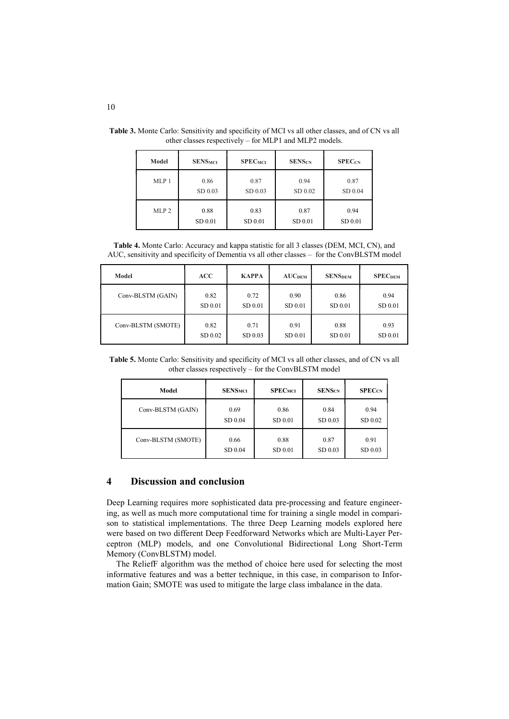| Model            | <b>SENSMCI</b> | <b>SPECMCI</b> | <b>SENSCN</b> | <b>SPECCN</b> |
|------------------|----------------|----------------|---------------|---------------|
| MLP 1            | 0.86           | 0.87           | 0.94          | 0.87          |
|                  | SD 0.03        | SD 0.03        | SD 0.02       | SD 0.04       |
| MLP <sub>2</sub> | 0.88           | 0.83           | 0.87          | 0.94          |
|                  | SD 0.01        | SD 0.01        | SD 0.01       | SD 0.01       |

Table 3. Monte Carlo: Sensitivity and specificity of MCI vs all other classes, and of CN vs all other classes respectively – for MLP1 and MLP2 models.

Table 4. Monte Carlo: Accuracy and kappa statistic for all 3 classes (DEM, MCI, CN), and AUC, sensitivity and specificity of Dementia vs all other classes – for the ConvBLSTM model

| Model              | ACC     | <b>KAPPA</b> | <b>AUCDEM</b> | <b>SENSDEM</b> | <b>SPECDEM</b> |
|--------------------|---------|--------------|---------------|----------------|----------------|
| Conv-BLSTM (GAIN)  | 0.82    | 0.72         | 0.90          | 0.86           | 0.94           |
|                    | SD 0.01 | SD 0.01      | SD 0.01       | SD 0.01        | SD 0.01        |
| Conv-BLSTM (SMOTE) | 0.82    | 0.71         | 0.91          | 0.88           | 0.93           |
|                    | SD 0.02 | $SD$ 0.03    | SD 0.01       | SD 0.01        | SD 0.01        |

Table 5. Monte Carlo: Sensitivity and specificity of MCI vs all other classes, and of CN vs all other classes respectively – for the ConvBLSTM model

| Model              | <b>SENSMCI</b> | <b>SPEC<sub>MCI</sub></b> | <b>SENS<sub>CN</sub></b> | $SPEC_{CN}$ |
|--------------------|----------------|---------------------------|--------------------------|-------------|
| Conv-BLSTM (GAIN)  | 0.69           | 0.86                      | 0.84                     | 0.94        |
|                    | SD 0.04        | SD 0.01                   | SD 0.03                  | SD 0.02     |
| Conv-BLSTM (SMOTE) | 0.66           | 0.88                      | 0.87                     | 0.91        |
|                    | SD 0.04        | SD 0.01                   | SD 0.03                  | $SD$ 0.03   |

## 4 Discussion and conclusion

Deep Learning requires more sophisticated data pre-processing and feature engineering, as well as much more computational time for training a single model in comparison to statistical implementations. The three Deep Learning models explored here were based on two different Deep Feedforward Networks which are Multi-Layer Perceptron (MLP) models, and one Convolutional Bidirectional Long Short-Term Memory (ConvBLSTM) model.

The ReliefF algorithm was the method of choice here used for selecting the most informative features and was a better technique, in this case, in comparison to Information Gain; SMOTE was used to mitigate the large class imbalance in the data.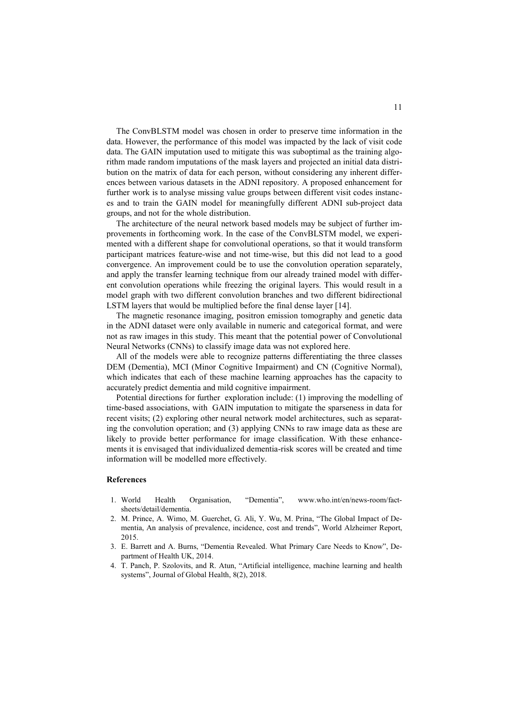The ConvBLSTM model was chosen in order to preserve time information in the data. However, the performance of this model was impacted by the lack of visit code data. The GAIN imputation used to mitigate this was suboptimal as the training algorithm made random imputations of the mask layers and projected an initial data distribution on the matrix of data for each person, without considering any inherent differences between various datasets in the ADNI repository. A proposed enhancement for further work is to analyse missing value groups between different visit codes instances and to train the GAIN model for meaningfully different ADNI sub-project data groups, and not for the whole distribution.

The architecture of the neural network based models may be subject of further improvements in forthcoming work. In the case of the ConvBLSTM model, we experimented with a different shape for convolutional operations, so that it would transform participant matrices feature-wise and not time-wise, but this did not lead to a good convergence. An improvement could be to use the convolution operation separately, and apply the transfer learning technique from our already trained model with different convolution operations while freezing the original layers. This would result in a model graph with two different convolution branches and two different bidirectional LSTM layers that would be multiplied before the final dense layer [14].

The magnetic resonance imaging, positron emission tomography and genetic data in the ADNI dataset were only available in numeric and categorical format, and were not as raw images in this study. This meant that the potential power of Convolutional Neural Networks (CNNs) to classify image data was not explored here.

All of the models were able to recognize patterns differentiating the three classes DEM (Dementia), MCI (Minor Cognitive Impairment) and CN (Cognitive Normal), which indicates that each of these machine learning approaches has the capacity to accurately predict dementia and mild cognitive impairment.

Potential directions for further exploration include: (1) improving the modelling of time-based associations, with GAIN imputation to mitigate the sparseness in data for recent visits; (2) exploring other neural network model architectures, such as separating the convolution operation; and (3) applying CNNs to raw image data as these are likely to provide better performance for image classification. With these enhancements it is envisaged that individualized dementia-risk scores will be created and time information will be modelled more effectively.

#### References

- 1. World Health Organisation, "Dementia", www.who.int/en/news-room/factsheets/detail/dementia.
- 2. M. Prince, A. Wimo, M. Guerchet, G. Ali, Y. Wu, M. Prina, "The Global Impact of Dementia, An analysis of prevalence, incidence, cost and trends", World Alzheimer Report, 2015.
- 3. E. Barrett and A. Burns, "Dementia Revealed. What Primary Care Needs to Know", Department of Health UK, 2014.
- 4. T. Panch, P. Szolovits, and R. Atun, "Artificial intelligence, machine learning and health systems", Journal of Global Health, 8(2), 2018.